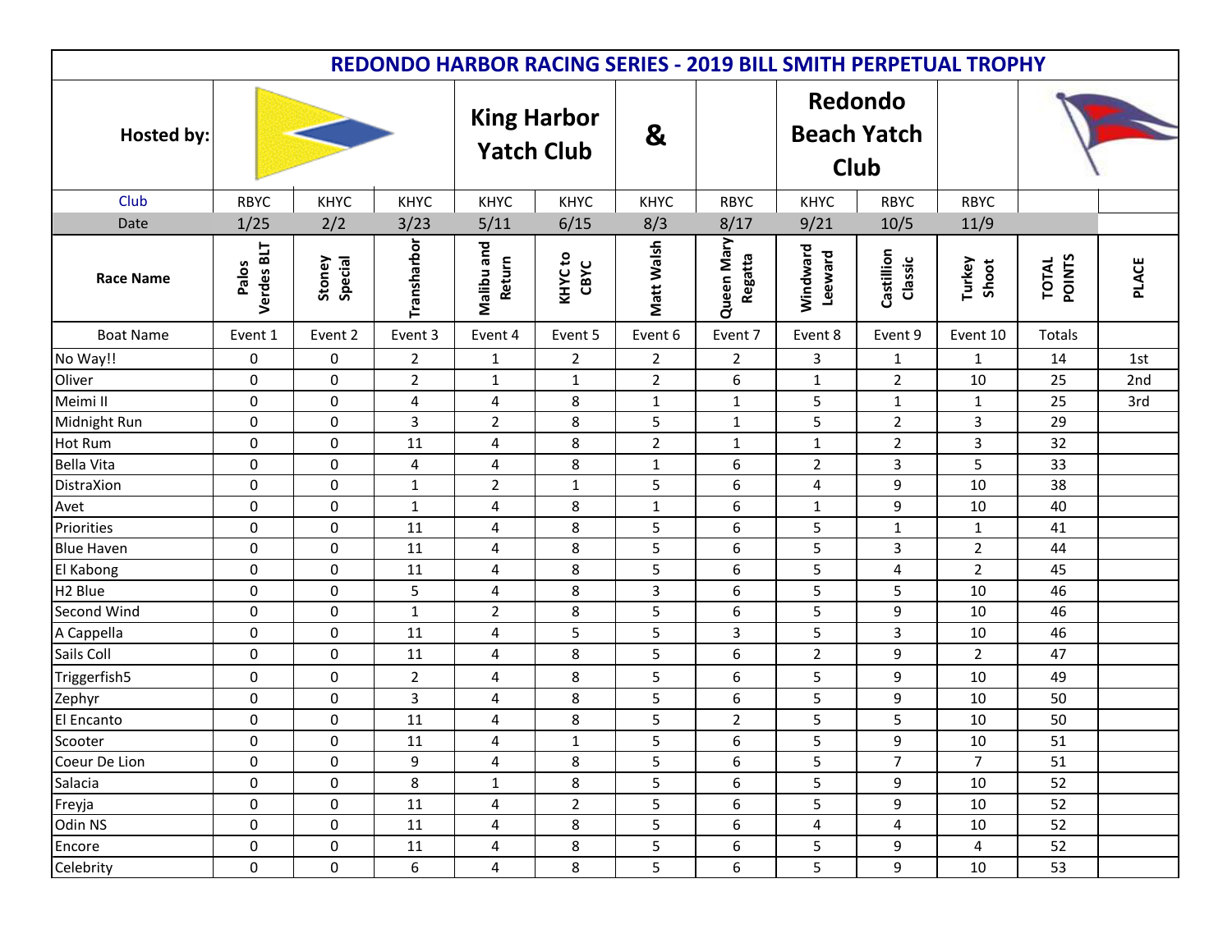| <b>REDONDO HARBOR RACING SERIES - 2019 BILL SMITH PERPETUAL TROPHY</b> |                     |                   |                |                                         |                            |                   |                       |                                              |                       |                 |                        |              |
|------------------------------------------------------------------------|---------------------|-------------------|----------------|-----------------------------------------|----------------------------|-------------------|-----------------------|----------------------------------------------|-----------------------|-----------------|------------------------|--------------|
| <b>Hosted by:</b>                                                      |                     |                   |                | <b>King Harbor</b><br><b>Yatch Club</b> |                            | $\mathbf{g}$      |                       | Redondo<br><b>Beach Yatch</b><br><b>Club</b> |                       |                 |                        |              |
| Club                                                                   | <b>RBYC</b>         | KHYC              | <b>KHYC</b>    | KHYC                                    | KHYC                       | KHYC              | <b>RBYC</b>           | <b>KHYC</b>                                  | <b>RBYC</b>           | <b>RBYC</b>     |                        |              |
| Date                                                                   | 1/25                | 2/2               | 3/23           | 5/11                                    | 6/15                       | 8/3               | 8/17                  | 9/21                                         | 10/5                  | 11/9            |                        |              |
| <b>Race Name</b>                                                       | Verdes BLT<br>Palos | Stoney<br>Special | Transharbor    | Malibu and<br>Return                    | KHYC <sub>to</sub><br>CBYC | <b>Matt Walsh</b> | Queen Mary<br>Regatta | Windward<br>Leeward                          | Castillion<br>Classic | Turkey<br>Shoot | <b>TOTAL</b><br>POINTS | <b>PLACE</b> |
| <b>Boat Name</b>                                                       | Event 1             | Event 2           | Event 3        | Event 4                                 | Event 5                    | Event 6           | Event 7               | Event 8                                      | Event 9               | Event 10        | Totals                 |              |
| No Way!!                                                               | 0                   | 0                 | $\overline{2}$ | $\mathbf{1}$                            | $\overline{2}$             | $\overline{2}$    | $\overline{2}$        | 3                                            | $\mathbf{1}$          | $\mathbf{1}$    | 14                     | 1st          |
| Oliver                                                                 | 0                   | 0                 | $\overline{2}$ | $\mathbf{1}$                            | $\mathbf{1}$               | $\overline{2}$    | 6                     | $\mathbf{1}$                                 | $\overline{2}$        | 10              | 25                     | 2nd          |
| Meimi II                                                               | 0                   | 0                 | 4              | $\overline{4}$                          | 8                          | $\mathbf{1}$      | $\mathbf{1}$          | 5                                            | $\mathbf{1}$          | $\mathbf{1}$    | 25                     | 3rd          |
| Midnight Run                                                           | $\pmb{0}$           | 0                 | 3              | $\overline{2}$                          | 8                          | 5                 | $\mathbf{1}$          | 5                                            | $\overline{2}$        | 3               | 29                     |              |
| Hot Rum                                                                | 0                   | 0                 | 11             | $\overline{\mathbf{4}}$                 | 8                          | $\overline{2}$    | $\mathbf{1}$          | $\mathbf{1}$                                 | $\overline{2}$        | 3               | 32                     |              |
| <b>Bella Vita</b>                                                      | $\mathbf 0$         | 0                 | 4              | $\overline{4}$                          | 8                          | $\mathbf{1}$      | 6                     | $\overline{2}$                               | 3                     | 5               | 33                     |              |
| DistraXion                                                             | 0                   | 0                 | $\mathbf 1$    | $\overline{2}$                          | $\mathbf{1}$               | 5                 | 6                     | $\overline{4}$                               | 9                     | 10              | 38                     |              |
| Avet                                                                   | 0                   | 0                 | $\mathbf{1}$   | 4                                       | 8                          | $\mathbf{1}$      | 6                     | $\mathbf{1}$                                 | 9                     | 10              | 40                     |              |
| Priorities                                                             | 0                   | 0                 | 11             | $\overline{4}$                          | 8                          | 5                 | 6                     | 5                                            | $\mathbf{1}$          | $\mathbf{1}$    | 41                     |              |
| <b>Blue Haven</b>                                                      | $\mathbf 0$         | 0                 | 11             | 4                                       | 8                          | 5                 | 6                     | 5                                            | 3                     | $\overline{2}$  | 44                     |              |
| El Kabong                                                              | $\pmb{0}$           | 0                 | 11             | $\overline{4}$                          | 8                          | 5                 | 6                     | 5                                            | 4                     | $\overline{2}$  | 45                     |              |
| H <sub>2</sub> Blue                                                    | 0                   | 0                 | 5              | 4                                       | 8                          | 3                 | 6                     | 5                                            | 5                     | 10              | 46                     |              |
| Second Wind                                                            | 0                   | 0                 | $\mathbf{1}$   | $\overline{2}$                          | 8                          | 5                 | 6                     | 5                                            | 9                     | 10              | 46                     |              |
| A Cappella                                                             | 0                   | 0                 | 11             | 4                                       | 5                          | 5                 | 3                     | 5                                            | 3                     | 10              | 46                     |              |
| Sails Coll                                                             | 0                   | 0                 | $11\,$         | $\overline{\mathbf{4}}$                 | 8                          | $\overline{5}$    | 6                     | $\overline{2}$                               | 9                     | $\overline{2}$  | 47                     |              |
| Triggerfish5                                                           | 0                   | 0                 | $\overline{2}$ | $\overline{4}$                          | 8                          | 5                 | 6                     | 5                                            | 9                     | 10              | 49                     |              |
| Zephyr                                                                 | 0                   | 0                 | 3              | 4                                       | 8                          | 5                 | 6                     | 5                                            | 9                     | 10              | 50                     |              |
| El Encanto                                                             | $\pmb{0}$           | 0                 | $11\,$         | $\overline{\mathbf{4}}$                 | $\,8\,$                    | 5                 | $\overline{2}$        | 5                                            | 5                     | 10              | 50                     |              |
| Scooter                                                                | 0                   | $\mathbf 0$       | 11             | 4                                       | $\mathbf{1}$               | 5                 | 6                     | 5                                            | 9                     | $10\,$          | 51                     |              |
| Coeur De Lion                                                          | 0                   | 0                 | 9              | 4                                       | 8                          | 5                 | 6                     | 5                                            | $\overline{7}$        | $\overline{7}$  | 51                     |              |
| Salacia                                                                | $\pmb{0}$           | $\mathbf 0$       | 8              | $\mathbf{1}$                            | 8                          | 5                 | 6                     | 5                                            | 9                     | 10              | 52                     |              |
| Freyja                                                                 | $\pmb{0}$           | 0                 | 11             | 4                                       | $\overline{2}$             | 5                 | 6                     | 5                                            | 9                     | 10              | 52                     |              |
| Odin NS                                                                | 0                   | 0                 | 11             | 4                                       | 8                          | 5                 | 6                     | 4                                            | 4                     | 10              | 52                     |              |
| Encore                                                                 | $\pmb{0}$           | 0                 | 11             | 4                                       | 8                          | 5                 | 6                     | 5                                            | 9                     | 4               | 52                     |              |
| Celebrity                                                              | $\pmb{0}$           | 0                 | 6              | $\overline{\mathbf{4}}$                 | 8                          | 5                 | 6                     | 5                                            | 9                     | 10              | 53                     |              |